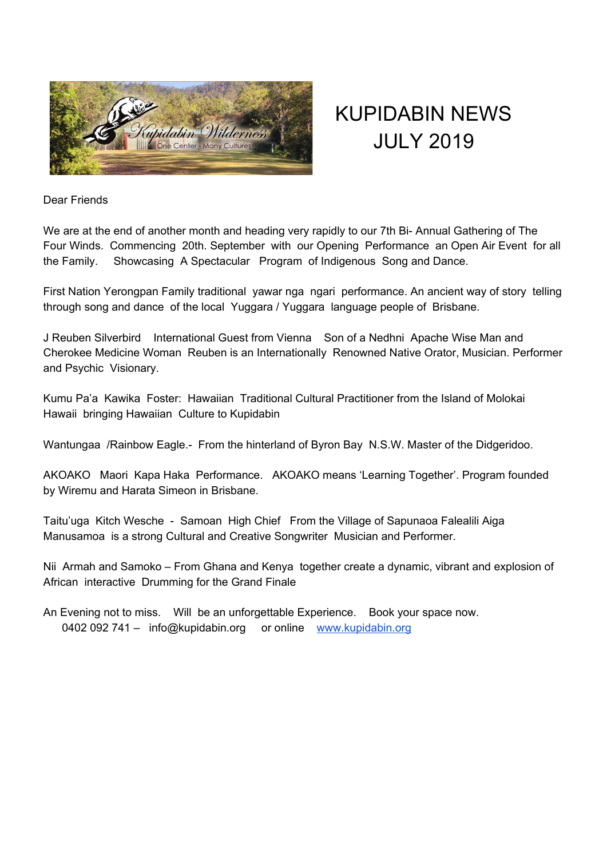

# KUPIDABIN NEWS JULY 2019

Dear Friends

We are at the end of another month and heading very rapidly to our 7th Bi- Annual Gathering of The Four Winds. Commencing 20th. September with our Opening Performance an Open Air Event for all the Family. Showcasing A Spectacular Program of Indigenous Song and Dance.

First Nation Yerongpan Family traditional yawar nga ngari performance. An ancient way of story telling through song and dance of the local Yuggara / Yuggara language people of Brisbane.

J Reuben Silverbird International Guest from Vienna Son of a Nedhni Apache Wise Man and Cherokee Medicine Woman Reuben is an Internationally Renowned Native Orator, Musician. Performer and Psychic Visionary.

Kumu Pa'a Kawika Foster: Hawaiian Traditional Cultural Practitioner from the Island of Molokai Hawaii bringing Hawaiian Culture to Kupidabin

Wantungaa /Rainbow Eagle.- From the hinterland of Byron Bay N.S.W. Master of the Didgeridoo.

AKOAKO Maori Kapa Haka Performance. AKOAKO means 'Learning Together'. Program founded by Wiremu and Harata Simeon in Brisbane.

Taitu'uga Kitch Wesche - Samoan High Chief From the Village of Sapunaoa Falealili Aiga Manusamoa is a strong Cultural and Creative Songwriter Musician and Performer.

Nii Armah and Samoko – From Ghana and Kenya together create a dynamic, vibrant and explosion of African interactive Drumming for the Grand Finale

An Evening not to miss. Will be an unforgettable Experience. Book your space now. 0402 092 741 – info@kupidabin.org or online [www.kupidabin.org](http://www.kupidabin.org/)